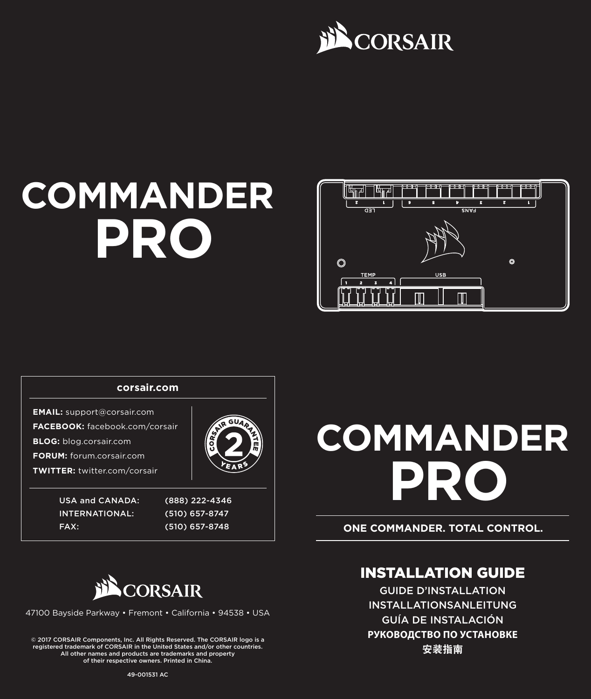



## USA and CANADA: (888) 222-4346 INTERNATIONAL: (510) 657-8747 FAX: (510) 657-8748 **corsair.com EMAIL:** support@corsair.com **FACEBOOK:** facebook.com/corsair **BLOG:** blog.corsair.com **FORUM:** forum.corsair.com **TWITTER:** twitter.com/corsair

# **COMMANDER PRO**

**ONE COMMANDER. TOTAL CONTROL.**



47100 Bayside Parkway • Fremont • California • 94538 • USA

© 2017 CORSAIR Components, Inc. All Rights Reserved. The CORSAIR logo is a registered trademark of CORSAIR in the United States and/or other countries. All other names and products are trademarks and property of their respective owners. Printed in China.

## INSTALLATION GUIDE

GUIDE D'INSTALLATION INSTALLATIONSANLEITUNG GUÍA DE INSTALACIÓN **РУКОВОДСТВО ПО УСТАНОВКЕ** 安装指南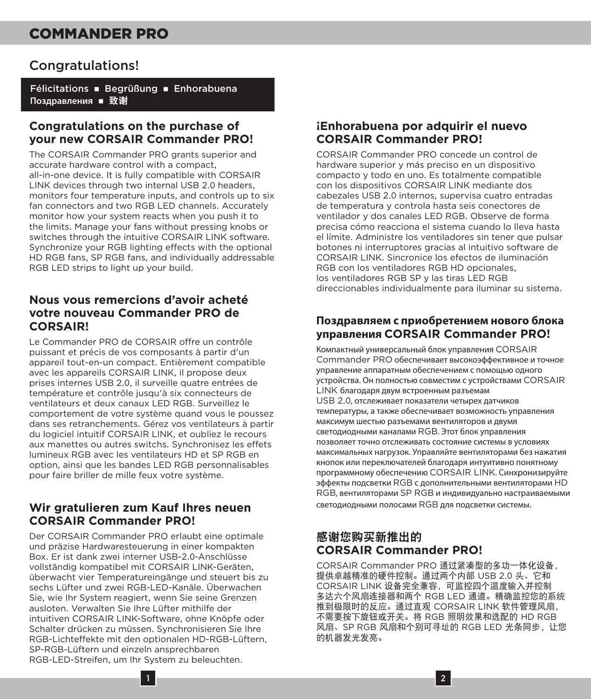### Congratulations!

Félicitations · Begrüßung · Enhorabuena Поздравления **■** 致谢

#### **Congratulations on the purchase of your new CORSAIR Commander PRO!**

The CORSAIR Commander PRO grants superior and accurate hardware control with a compact, all-in-one device. It is fully compatible with CORSAIR LINK devices through two internal USB 2.0 headers, monitors four temperature inputs, and controls up to six fan connectors and two RGB LED channels. Accurately monitor how your system reacts when you push it to the limits. Manage your fans without pressing knobs or switches through the intuitive CORSAIR LINK software. Synchronize your RGB lighting effects with the optional HD RGB fans, SP RGB fans, and individually addressable RGB LED strips to light up your build.

### **Nous vous remercions d'avoir acheté votre nouveau Commander PRO de CORSAIR!**

Le Commander PRO de CORSAIR offre un contrôle puissant et précis de vos composants à partir d'un appareil tout-en-un compact. Entièrement compatible avec les appareils CORSAIR LINK, il propose deux prises internes USB 2.0, il surveille quatre entrées de température et contrôle jusqu'à six connecteurs de ventilateurs et deux canaux LED RGB. Surveillez le comportement de votre système quand vous le poussez dans ses retranchements. Gérez vos ventilateurs à partir du logiciel intuitif CORSAIR LINK, et oubliez le recours aux manettes ou autres switchs. Synchronisez les effets lumineux RGB avec les ventilateurs HD et SP RGB en option, ainsi que les bandes LED RGB personnalisables pour faire briller de mille feux votre système.

### **Wir gratulieren zum Kauf Ihres neuen CORSAIR Commander PRO!**

Der CORSAIR Commander PRO erlaubt eine optimale und präzise Hardwaresteuerung in einer kompakten Box. Er ist dank zwei interner USB-2.0-Anschlüsse vollständig kompatibel mit CORSAIR LINK-Geräten, überwacht vier Temperatureingänge und steuert bis zu sechs Lüfter und zwei RGB-LED-Kanäle. Überwachen Sie, wie Ihr System reagiert, wenn Sie seine Grenzen ausloten. Verwalten Sie Ihre Lüfter mithilfe der intuitiven CORSAIR LINK-Software, ohne Knöpfe oder Schalter drücken zu müssen. Synchronisieren Sie Ihre RGB-Lichteffekte mit den optionalen HD-RGB-Lüftern, SP-RGB-Lüftern und einzeln ansprechbaren RGB-LED-Streifen, um Ihr System zu beleuchten.

#### **¡Enhorabuena por adquirir el nuevo CORSAIR Commander PRO!**

CORSAIR Commander PRO concede un control de hardware superior y más preciso en un dispositivo compacto y todo en uno. Es totalmente compatible con los dispositivos CORSAIR LINK mediante dos cabezales USB 2.0 internos, supervisa cuatro entradas de temperatura y controla hasta seis conectores de ventilador y dos canales LED RGB. Observe de forma precisa cómo reacciona el sistema cuando lo lleva hasta el límite. Administre los ventiladores sin tener que pulsar botones ni interruptores gracias al intuitivo software de CORSAIR LINK. Sincronice los efectos de iluminación RGB con los ventiladores RGB HD opcionales, los ventiladores RGB SP y las tiras LED RGB direccionables individualmente para iluminar su sistema.

#### **Поздравляем с приобретением нового блока управления CORSAIR Commander PRO!**

Компактный универсальный блок управления CORSAIR Commander PRO обеспечивает высокоэффективное и точное управление аппаратным обеспечением с помощью одного устройства. Он полностью совместим с устройствами CORSAIR LINK благодаря двум встроенным разъемам USB 2.0, отслеживает показатели четырех датчиков температуры, а также обеспечивает возможность управления максимум шестью разъемами вентиляторов и двумя светодиодными каналами RGB. Этот блок управления позволяет точно отслеживать состояние системы в условиях максимальных нагрузок. Управляйте вентиляторами без нажатия кнопок или переключателей благодаря интуитивно понятному программному обеспечению CORSAIR LINK. Синхронизируйте эффекты подсветки RGB с дополнительными вентиляторами HD RGB, вентиляторами SP RGB и индивидуально настраиваемыми светодиодными полосами RGB для подсветки системы.

#### 感谢您购买新推出的 **CORSAIR Commander PRO!**

CORSAIR Commander PRO 通过紧凑型的多功一体化设备, 提供卓越精准的硬件控制。通过两个内部 USB 2.0 头、它和 CORSAIR LINK 设备完全兼容,可监控四个温度输入并控制 多达六个风扇连接器和两个 RGB LED 通道。精确监控您的系统 推到极限时的反应。通过直观 CORSAIR LINK 软件管理风扇, 不需要按下旋钮或开关。将 RGB 照明效果和选配的 HD RGB 风扇、SP RGB 风扇和个别可寻址的 RGB LED 光条同步, 让您 的机器发光发亮。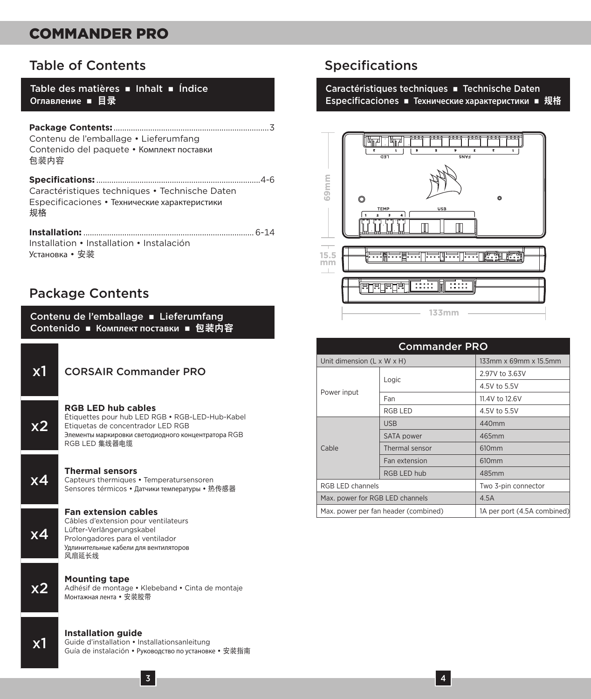## Table of Contents

Table des matières  $\blacksquare$  Inhalt  $\blacksquare$  Índice Оглавление **■** 目录

| Contenu de l'emballage · Lieferumfang<br>Contenido del paquete • Комплект поставки<br>包装内容            |
|-------------------------------------------------------------------------------------------------------|
| Caractéristiques techniques • Technische Daten<br>Especificaciones • Технические характеристики<br>规格 |
| Installation • Installation • Instalación                                                             |

Установка • 安装

## Package Contents

Contenu de l'emballage = Lieferumfang Contenido ■ Комплект поставки ■ 包装内容 x1 CORSAIR Commander PRO x2 **RGB LED hub cables** Étiquettes pour hub LED RGB • RGB-LED-Hub-Kabel Etiquetas de concentrador LED RGB Элементы маркировки светодиодного концентратора RGB RGB I FD 集线器电缆 **X4 Thermal sensors**<br>
Capteurs thermiques • Temperatursensoren Sensores térmicos • Датчики температуры • 热传感器 x4 **Fan extension cables** Câbles d'extension pour ventilateurs Lüfter-Verlängerungskabel Prolongadores para el ventilador Удлинительные кабели для вентиляторов 风扇延长线 **X2 Mounting tape**<br>
Machésif de montage • Klebeband • Cinta de montaje<br>
Mourneuse acute de states Монтажная лента • 安装胶带 x1 **Installation guide** Guide d'installation • Installationsanleitung Guía de instalación • Руководство по установке • 安装指南

## Specifications

#### Caractéristiques techniques = Technische Daten **Especificaciones ■ Технические характеристики ■ 规格**



| 69 <sub>mm</sub><br>Ō                | TEMP<br>USB<br>4 ]<br>$\overline{\mathbf{z}}$<br>x | ø                            |
|--------------------------------------|----------------------------------------------------|------------------------------|
| 15.5<br>mm                           | - - - - - - - - - - -                              | فها الهندا الحدا الحدالالحدا |
|                                      | हा हा हा ह                                         |                              |
|                                      | 133mm                                              |                              |
|                                      | <b>Commander PRO</b>                               |                              |
| Unit dimension (L x W x H)           |                                                    | 133mm x 69mm x 15.5mm        |
|                                      | Logic                                              | 2.97V to 3.63V               |
| Power input                          |                                                    | 4.5V to 5.5V                 |
|                                      | Fan                                                | 11.4V to 12.6V               |
|                                      | RGB I FD                                           | 4.5V to 5.5V                 |
|                                      | <b>USB</b>                                         | 440mm                        |
|                                      | SATA power                                         | 465mm                        |
| Cable                                | Thermal sensor                                     | 610mm                        |
|                                      | Fan extension                                      | 610mm                        |
|                                      | RGB LED hub                                        | 485mm                        |
| RGB I FD channels                    |                                                    | Two 3-pin connector          |
| Max. power for RGB LED channels      |                                                    | 4.5A                         |
| Max. power per fan header (combined) |                                                    | 1A per port (4.5A combined)  |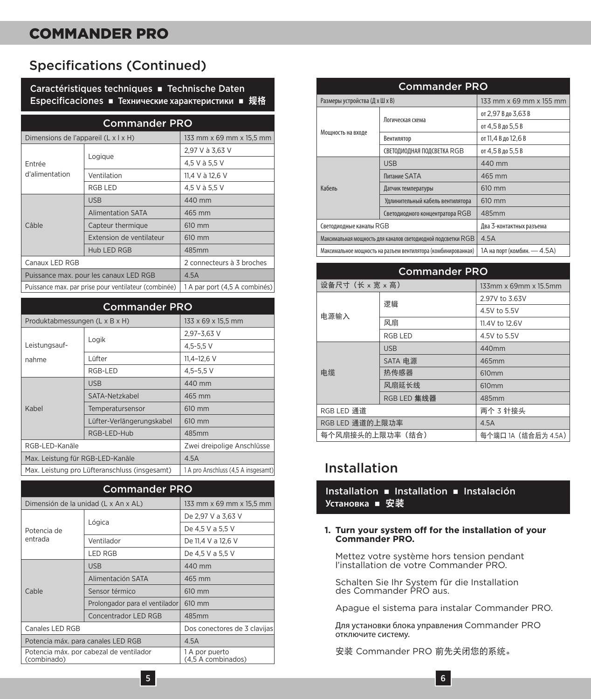## Specifications (Continued)

Caractéristiques techniques **n** Technische Daten **Especificaciones ■ Технические характеристики ■ 规格** 

| <b>Commander PRO</b>                                 |                          |                               |
|------------------------------------------------------|--------------------------|-------------------------------|
| Dimensions de l'appareil (L x l x H)                 |                          | 133 mm x 69 mm x 15,5 mm      |
| Fntrée<br>d'alimentation                             | Logique                  | 2,97 V à 3,63 V               |
|                                                      |                          | 4,5 V à 5,5 V                 |
|                                                      | Ventilation              | 11.4 V à 12.6 V               |
|                                                      | RGB I FD                 | 4,5 V à 5,5 V                 |
| Câble                                                | <b>USB</b>               | 440 mm                        |
|                                                      | <b>Alimentation SATA</b> | 465 mm                        |
|                                                      | Capteur thermique        | 610 mm                        |
|                                                      | Extension de ventilateur | 610 mm                        |
|                                                      | Hub LED RGB              | 485mm                         |
| Canaux LED RGB                                       |                          | 2 connecteurs à 3 broches     |
| Puissance max. pour les canaux LED RGB               |                          | 4.5A                          |
| Puissance max, par prise pour ventilateur (combinée) |                          | 1 A par port (4,5 A combinés) |

| <b>Commander PRO</b>                          |                           |                                     |
|-----------------------------------------------|---------------------------|-------------------------------------|
| Produktabmessungen (L x B x H)                |                           | 133 x 69 x 15.5 mm                  |
|                                               | Logik                     | 2.97-3.63 V                         |
| Leistungsauf-                                 |                           | $4.5 - 5.5$ V                       |
| nahme                                         | I üfter                   | $11.4 - 12.6$ V                     |
|                                               | RGB-I FD                  | $4.5 - 5.5$ V                       |
|                                               | <b>USB</b>                | 440 mm                              |
|                                               | SATA-Netzkabel            | 465 mm                              |
| Kabel                                         | Temperatursensor          | 610 mm                              |
|                                               | Lüfter-Verlängerungskabel | 610 mm                              |
|                                               | RGB-LED-Hub               | 485mm                               |
| RGB-LED-Kanäle                                |                           | Zwei dreipolige Anschlüsse          |
| Max. Leistung für RGB-LED-Kanäle              |                           | 4.5A                                |
| Max. Leistung pro Lüfteranschluss (insgesamt) |                           | 1 A pro Anschluss (4,5 A insgesamt) |

| <b>Commander PRO</b>                                   |                                |                                      |
|--------------------------------------------------------|--------------------------------|--------------------------------------|
| Dimensión de la unidad (L x An x AL)                   |                                | 133 mm x 69 mm x 15,5 mm             |
| Potencia de<br>entrada                                 | Lógica                         | De 2,97 V a 3,63 V                   |
|                                                        |                                | De 4,5 V a 5,5 V                     |
|                                                        | Ventilador                     | De 11,4 V a 12,6 V                   |
|                                                        | <b>IFD RGB</b>                 | De 4,5 V a 5,5 V                     |
| Cable                                                  | <b>USB</b>                     | 440 mm                               |
|                                                        | Alimentación SATA              | 465 mm                               |
|                                                        | Sensor térmico                 | 610 mm                               |
|                                                        | Prolongador para el ventilador | 610 mm                               |
|                                                        | Concentrador LED RGB           | 485mm                                |
| Canales LED RGB                                        |                                | Dos conectores de 3 clavijas         |
| Potencia máx. para canales LED RGB                     |                                | 4.5A                                 |
| Potencia máx. por cabezal de ventilador<br>(combinado) |                                | 1 A por puerto<br>(4.5 A combinados) |

| <b>Commander PRO</b>                                          |                                  |                             |
|---------------------------------------------------------------|----------------------------------|-----------------------------|
| Размеры устройства (Д х Ш х В)                                |                                  | 133 mm x 69 mm x 155 mm     |
|                                                               | Логическая схема                 | от 2,97 В до 3,63 В         |
| Мощность на входе                                             |                                  | от 4,5 В до 5,5 В           |
|                                                               | Вентилятор                       | от 11.4 В до 12.6 В         |
|                                                               | СВЕТОДИОДНАЯ ПОДСВЕТКА RGB       | от 4.5 В до 5.5 В           |
|                                                               | <b>USB</b>                       | 440 mm                      |
|                                                               | Питание SATA                     | 465 mm                      |
| Кабель                                                        | Датчик температуры               | 610 mm                      |
|                                                               | Удлинительный кабель вентилятора | 610 mm                      |
|                                                               | Светодиодного концентратора RGB  | 485mm                       |
| Светодиодные каналы RGB                                       |                                  | Два 3-контактных разъема    |
| Максимальная мощность для каналов светодиодной подсветки RGB  |                                  | 4.5A                        |
| Максимальное мощность на разъем вентилятора (комбинированная) |                                  | 1А на порт (комбин. - 4.5А) |

| <b>Commander PRO</b> |             |                       |
|----------------------|-------------|-----------------------|
| 设备尺寸(长 x 宽 x 高)      |             | 133mm x 69mm x 15.5mm |
| 电源输入                 | 逻辑          | 2.97V to 3.63V        |
|                      |             | 4.5V to 5.5V          |
|                      | 风扇          | 11.4V to 12.6V        |
|                      | RGB I FD    | 4.5V to 5.5V          |
| 电缆                   | <b>USB</b>  | 440mm                 |
|                      | SATA 电源     | 465mm                 |
|                      | 热传感器        | 610mm                 |
|                      | 风扇延长线       | 610mm                 |
|                      | RGB LED 集线器 | 485mm                 |
| RGB LED 通道           |             | 两个 3 针接头              |
| RGB LED 通道的上限功率      |             | 4.5A                  |
| 每个风扇接头的上限功率(结合)      |             | 每个端口 1A (结合后为 4.5A)   |

## Installation

Installation **n** Installation **n** Instalación Установка ■ 安装

#### **1. Turn your system off for the installation of your Commander PRO.**

Mettez votre système hors tension pendant l'installation de votre Commander PRO.

Schalten Sie Ihr System für die Installation des Commander PRO aus.

Apague el sistema para instalar Commander PRO.

Для установки блока управления Commander PRO отключите систему.

安装 Commander PRO 前先关闭您的系统。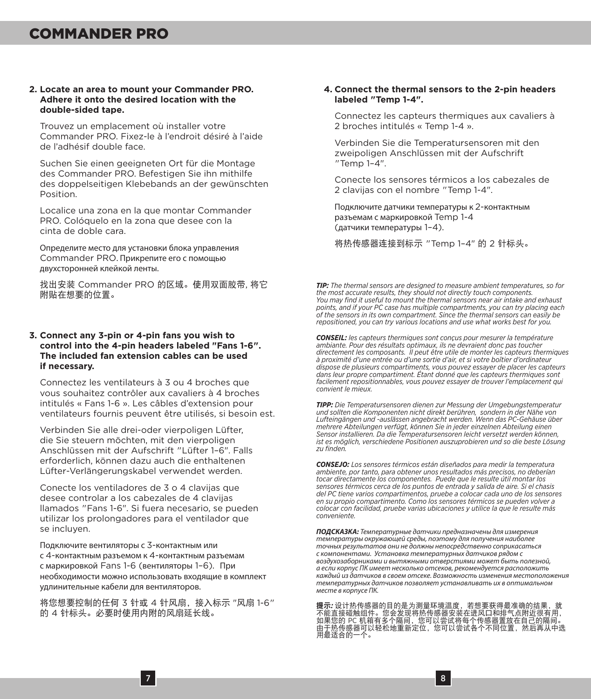#### **2. Locate an area to mount your Commander PRO. Adhere it onto the desired location with the double-sided tape.**

Trouvez un emplacement où installer votre Commander PRO. Fixez-le à l'endroit désiré à l'aide de l'adhésif double face.

Suchen Sie einen geeigneten Ort für die Montage des Commander PRO. Befestigen Sie ihn mithilfe des doppelseitigen Klebebands an der gewünschten Position.

Localice una zona en la que montar Commander PRO. Colóquelo en la zona que desee con la cinta de doble cara.

Определите место для установки блока управления Commander PRO. Прикрепите его с помощью двухсторонней клейкой ленты.

找出安装 Commander PRO 的区域。使用双面胶带, 将它 附贴在想要的位置。

#### **3. Connect any 3-pin or 4-pin fans you wish to control into the 4-pin headers labeled "Fans 1-6". The included fan extension cables can be used if necessary.**

Connectez les ventilateurs à 3 ou 4 broches que vous souhaitez contrôler aux cavaliers à 4 broches intitulés « Fans 1-6 ». Les câbles d'extension pour ventilateurs fournis peuvent être utilisés, si besoin est.

Verbinden Sie alle drei-oder vierpoligen Lüfter, die Sie steuern möchten, mit den vierpoligen Anschlüssen mit der Aufschrift "Lüfter 1–6". Falls erforderlich, können dazu auch die enthaltenen Lüfter-Verlängerungskabel verwendet werden.

Conecte los ventiladores de 3 o 4 clavijas que desee controlar a los cabezales de 4 clavijas llamados "Fans 1-6". Si fuera necesario, se pueden utilizar los prolongadores para el ventilador que se incluyen.

Подключите вентиляторы с 3-контактным или с 4-контактным разъемом к 4-контактным разъемам с маркировкой Fans 1-6 (вентиляторы 1–6). При необходимости можно использовать входящие в комплект удлинительные кабели для вентиляторов.

将您想要控制的任何 3 针或 4 针风扇,接入标示 "风扇 1-6" 的 4 针标头。必要时使用内附的风扇延长线。

#### **4. Connect the thermal sensors to the 2-pin headers labeled "Temp 1-4".**

Connectez les capteurs thermiques aux cavaliers à 2 broches intitulés « Temp 1-4 ».

Verbinden Sie die Temperatursensoren mit den zweipoligen Anschlüssen mit der Aufschrift "Temp 1–4".

Conecte los sensores térmicos a los cabezales de 2 clavijas con el nombre "Temp 1-4".

Подключите датчики температуры к 2-контактным разъемам с маркировкой Temp 1-4 (датчики температуры 1–4).

将热传感器连接到标示 "Temp 1–4" 的 2 针标头。

*TIP: The thermal sensors are designed to measure ambient temperatures, so for the most accurate results, they should not directly touch components. You may find it useful to mount the thermal sensors near air intake and exhaust points, and if your PC case has multiple compartments, you can try placing each of the sensors in its own compartment. Since the thermal sensors can easily be repositioned, you can try various locations and use what works best for you.*

*CONSEIL: les capteurs thermiques sont conçus pour mesurer la température ambiante. Pour des résultats optimaux, ils ne devraient donc pas toucher directement les composants. Il peut être utile de monter les capteurs thermiques à proximité d'une entrée ou d'une sortie d'air, et si votre boîtier d'ordinateur dispose de plusieurs compartiments, vous pouvez essayer de placer les capteurs dans leur propre compartiment. Étant donné que les capteurs thermiques sont facilement repositionnables, vous pouvez essayer de trouver l'emplacement qui convient le mieux.*

*TIPP: Die Temperatursensoren dienen zur Messung der Umgebungstemperatur und sollten die Komponenten nicht direkt berühren, sondern in der Nähe von Lufteingängen und -auslässen angebracht werden. Wenn das PC-Gehäuse über mehrere Abteilungen verfügt, können Sie in jeder einzelnen Abteilung einen Sensor installieren. Da die Temperatursensoren leicht versetzt werden können, ist es möglich, verschiedene Positionen auszuprobieren und so die beste Lösung zu finden.*

*CONSEJO: Los sensores térmicos están diseñados para medir la temperatura ambiente, por tanto, para obtener unos resultados más precisos, no deberían tocar directamente los componentes. Puede que le resulte útil montar los sensores térmicos cerca de los puntos de entrada y salida de aire. Si el chasis del PC tiene varios compartimentos, pruebe a colocar cada uno de los sensores en su propio compartimento. Como los sensores térmicos se pueden volver a colocar con facilidad, pruebe varias ubicaciones y utilice la que le resulte más conveniente.*

*ПОДСКАЗКА: Температурные датчики предназначены для измерения температуры окружающей среды, поэтому для получения наиболее точных результатов они не должны непосредственно соприкасаться с компонентами. Установка температурных датчиков рядом с воздухозаборниками и вытяжными отверстиями может быть полезной, а если корпус ПК имеет несколько отсеков, рекомендуется расположить каждый из датчиков в своем отсеке. Возможность изменения местоположения температурных датчиков позволяет устанавливать их в оптимальном месте в корпусе ПК.*

**提**最为使得感器的目的是为测量环境温度,若想要获得最准确的结果,就<br>不能直接碰触组件。您会发现将热传感器安装在进风口和排气点附近很有用,<br>由于热传感器可以轻松地重新定位,您可以尝试各个不同位置,然后再从中选<br>用最适合的一个。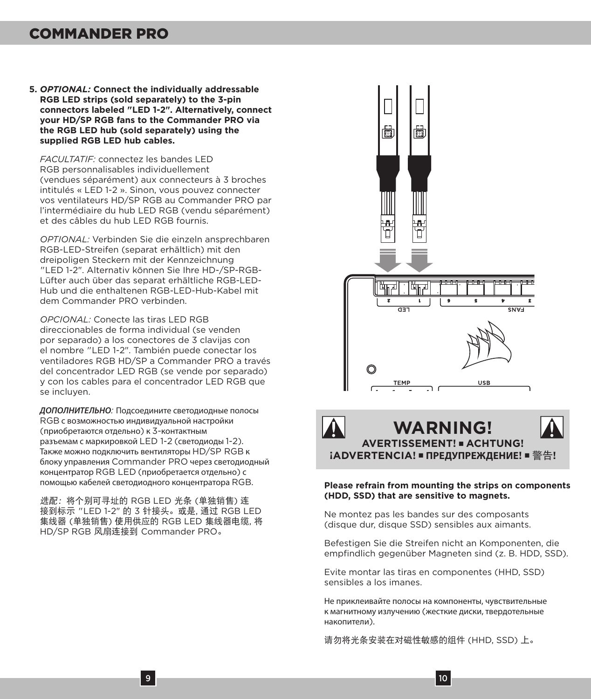**5.** *OPTIONAL:* **Connect the individually addressable RGB LED strips (sold separately) to the 3-pin connectors labeled "LED 1-2". Alternatively, connect your HD/SP RGB fans to the Commander PRO via the RGB LED hub (sold separately) using the supplied RGB LED hub cables.**

*FACULTATIF:* connectez les bandes LED RGB personnalisables individuellement (vendues séparément) aux connecteurs à 3 broches intitulés « LED 1-2 ». Sinon, vous pouvez connecter vos ventilateurs HD/SP RGB au Commander PRO par l'intermédiaire du hub LED RGB (vendu séparément) et des câbles du hub LED RGB fournis.

*OPTIONAL:* Verbinden Sie die einzeln ansprechbaren RGB-LED-Streifen (separat erhältlich) mit den dreipoligen Steckern mit der Kennzeichnung "LED 1-2". Alternativ können Sie Ihre HD-/SP-RGB-Lüfter auch über das separat erhältliche RGB-LED-Hub und die enthaltenen RGB-LED-Hub-Kabel mit dem Commander PRO verbinden.

*OPCIONAL:* Conecte las tiras LED RGB direccionables de forma individual (se venden por separado) a los conectores de 3 clavijas con el nombre "LED 1-2". También puede conectar los ventiladores RGB HD/SP a Commander PRO a través del concentrador LED RGB (se vende por separado) y con los cables para el concentrador LED RGB que se incluyen.

*ДОПОЛНИТЕЛЬНО:* Подсоедините светодиодные полосы RGB с возможностью индивидуальной настройки (приобретаются отдельно) к 3-контактным разъемам с маркировкой LED 1-2 (светодиоды 1-2). Также можно подключить вентиляторы HD/SP RGB к блоку управления Commander PRO через светодиодный концентратор RGB LED (приобретается отдельно) с помощью кабелей светодиодного концентратора RGB.

选配:将个别可寻址的 RGB LED 光条 (单独销售) 连 接到标示 "LED 1-2" 的 3 针接头。或是, 通过 RGB LED 集线器 (单独销售) 使用供应的 RGB LED 集线器电缆, 将 HD/SP RGB 风扇连接到 Commander PRO。





#### **Please refrain from mounting the strips on components (HDD, SSD) that are sensitive to magnets.**

Ne montez pas les bandes sur des composants (disque dur, disque SSD) sensibles aux aimants.

Befestigen Sie die Streifen nicht an Komponenten, die empfindlich gegenüber Magneten sind (z. B. HDD, SSD).

Evite montar las tiras en componentes (HHD, SSD) sensibles a los imanes.

Не приклеивайте полосы на компоненты, чувствительные к магнитному излучению (жесткие диски, твердотельные накопители).

请勿将光条安装在对磁性敏感的组件 (HHD, SSD) 上。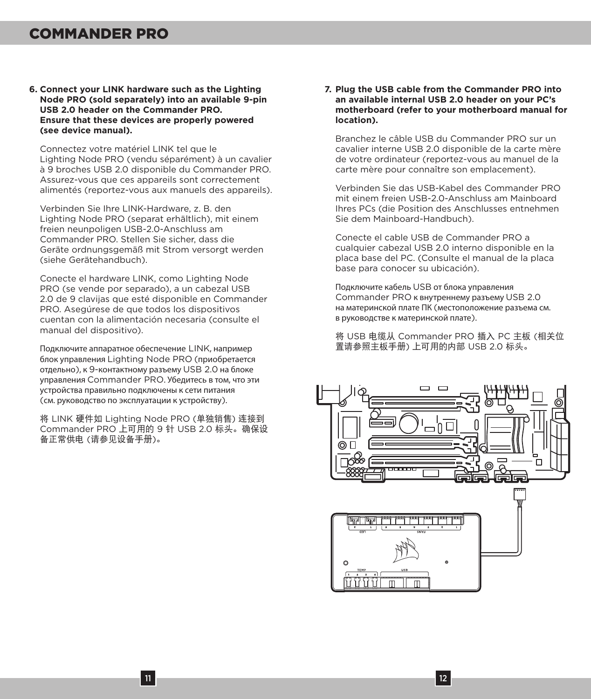**6. Connect your LINK hardware such as the Lighting Node PRO (sold separately) into an available 9-pin USB 2.0 header on the Commander PRO. Ensure that these devices are properly powered (see device manual).**

Connectez votre matériel LINK tel que le Lighting Node PRO (vendu séparément) à un cavalier à 9 broches USB 2.0 disponible du Commander PRO. Assurez-vous que ces appareils sont correctement alimentés (reportez-vous aux manuels des appareils).

Verbinden Sie Ihre LINK-Hardware, z. B. den Lighting Node PRO (separat erhältlich), mit einem freien neunpoligen USB-2.0-Anschluss am Commander PRO. Stellen Sie sicher, dass die Geräte ordnungsgemäß mit Strom versorgt werden (siehe Gerätehandbuch).

Conecte el hardware LINK, como Lighting Node PRO (se vende por separado), a un cabezal USB 2.0 de 9 clavijas que esté disponible en Commander PRO. Asegúrese de que todos los dispositivos cuentan con la alimentación necesaria (consulte el manual del dispositivo).

Подключите аппаратное обеспечение LINK, например блок управления Lighting Node PRO (приобретается отдельно), к 9-контактному разъему USB 2.0 на блоке управления Commander PRO. Убедитесь в том, что эти устройства правильно подключены к сети питания (см. руководство по эксплуатации к устройству).

将 LINK 硬件如 Lighting Node PRO (单独销售) 连接到 Commander PRO 上可用的 9 针 USB 2.0 标头。确保设 备正常供电 (请参见设备手册)。

#### **7. Plug the USB cable from the Commander PRO into an available internal USB 2.0 header on your PC's motherboard (refer to your motherboard manual for location).**

Branchez le câble USB du Commander PRO sur un cavalier interne USB 2.0 disponible de la carte mère de votre ordinateur (reportez-vous au manuel de la carte mère pour connaître son emplacement).

Verbinden Sie das USB-Kabel des Commander PRO mit einem freien USB-2.0-Anschluss am Mainboard Ihres PCs (die Position des Anschlusses entnehmen Sie dem Mainboard-Handbuch).

Conecte el cable USB de Commander PRO a cualquier cabezal USB 2.0 interno disponible en la placa base del PC. (Consulte el manual de la placa base para conocer su ubicación).

Подключите кабель USB от блока управления Commander PRO к внутреннему разъему USB 2.0 на материнской плате ПК (местоположение разъема см. в руководстве к материнской плате).

将 USB 电缆从 Commander PRO 插入 PC 主板 (相关位 置请参照主板手册) 上可用的内部 USB 2.0 标头。